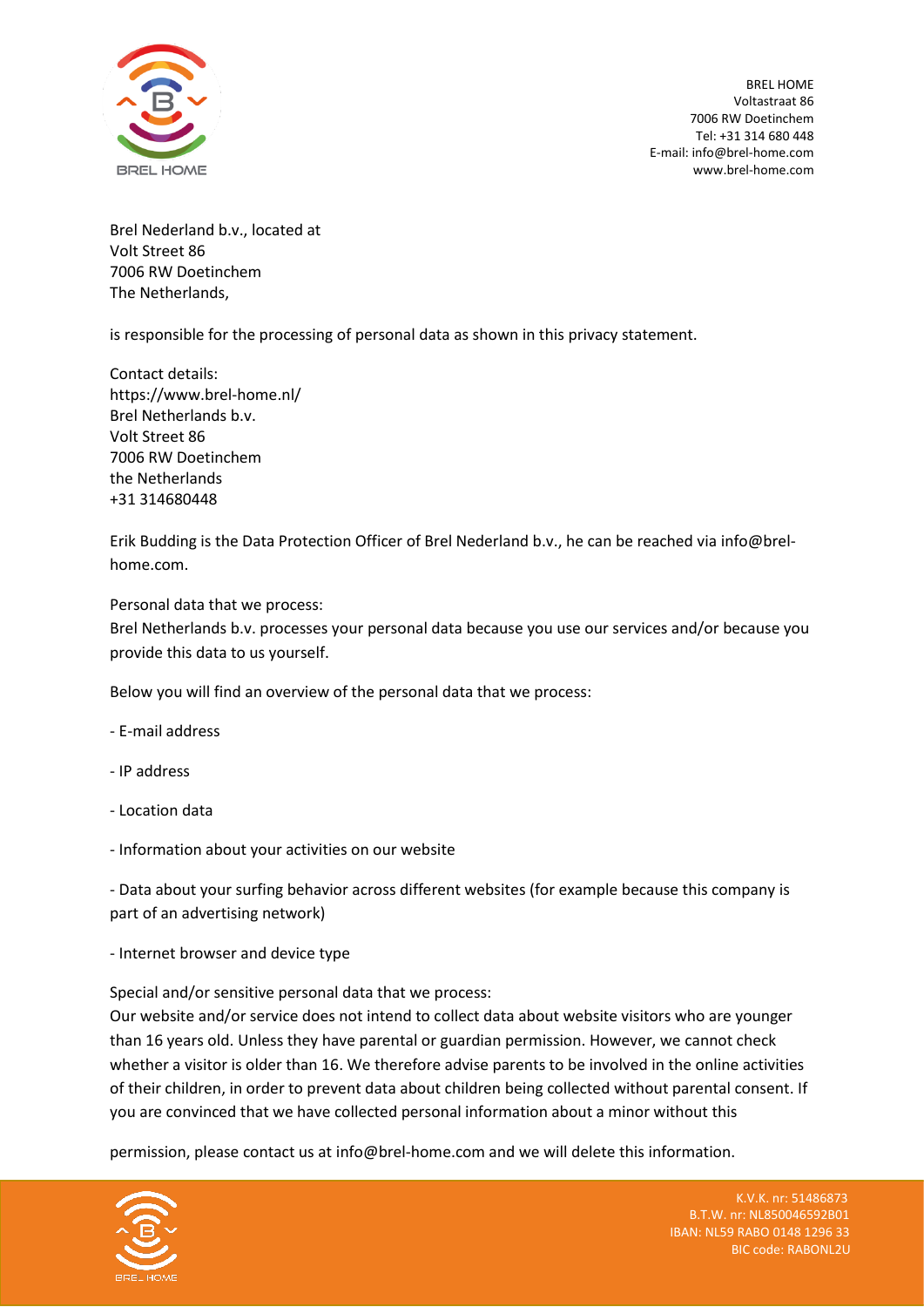

BREL HOME Voltastraat 86 7006 RW Doetinchem Tel: +31 314 680 448 E-mail: info@brel-home.com www.brel-home.com

Brel Nederland b.v., located at Volt Street 86 7006 RW Doetinchem The Netherlands,

is responsible for the processing of personal data as shown in this privacy statement.

Contact details: https://www.brel-home.nl/ Brel Netherlands b.v. Volt Street 86 7006 RW Doetinchem the Netherlands +31 314680448

Erik Budding is the Data Protection Officer of Brel Nederland b.v., he can be reached via info@brelhome.com.

Personal data that we process:

Brel Netherlands b.v. processes your personal data because you use our services and/or because you provide this data to us yourself.

Below you will find an overview of the personal data that we process:

- E-mail address
- IP address
- Location data
- Information about your activities on our website

- Data about your surfing behavior across different websites (for example because this company is part of an advertising network)

- Internet browser and device type

Special and/or sensitive personal data that we process:

Our website and/or service does not intend to collect data about website visitors who are younger than 16 years old. Unless they have parental or guardian permission. However, we cannot check whether a visitor is older than 16. We therefore advise parents to be involved in the online activities of their children, in order to prevent data about children being collected without parental consent. If you are convinced that we have collected personal information about a minor without this

permission, please contact us at info@brel-home.com and we will delete this information.

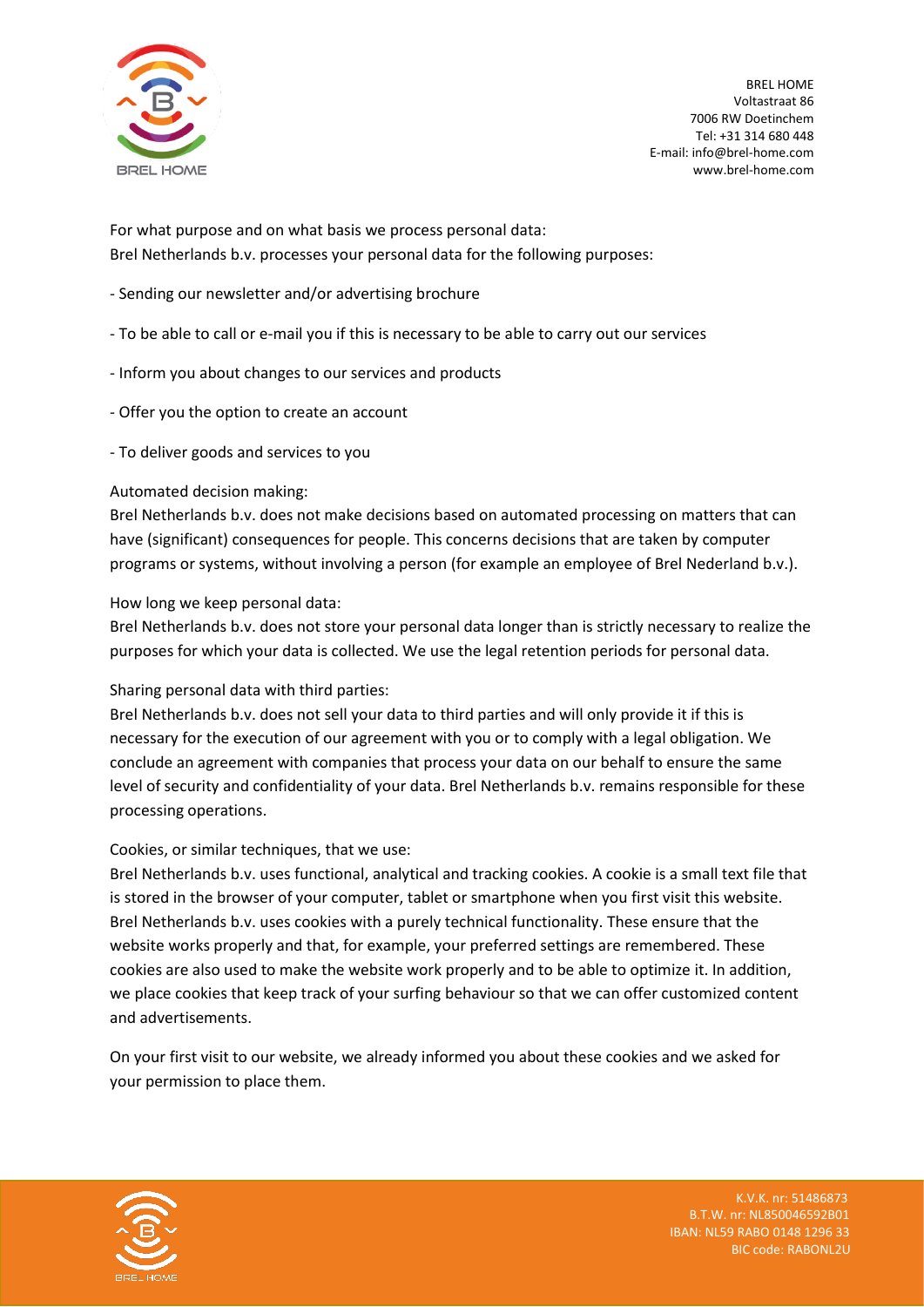

BREL HOME Voltastraat 86 7006 RW Doetinchem Tel: +31 314 680 448 E-mail: info@brel-home.com www.brel-home.com

For what purpose and on what basis we process personal data: Brel Netherlands b.v. processes your personal data for the following purposes:

- Sending our newsletter and/or advertising brochure
- To be able to call or e-mail you if this is necessary to be able to carry out our services
- Inform you about changes to our services and products
- Offer you the option to create an account
- To deliver goods and services to you

## Automated decision making:

Brel Netherlands b.v. does not make decisions based on automated processing on matters that can have (significant) consequences for people. This concerns decisions that are taken by computer programs or systems, without involving a person (for example an employee of Brel Nederland b.v.).

# How long we keep personal data:

Brel Netherlands b.v. does not store your personal data longer than is strictly necessary to realize the purposes for which your data is collected. We use the legal retention periods for personal data.

## Sharing personal data with third parties:

Brel Netherlands b.v. does not sell your data to third parties and will only provide it if this is necessary for the execution of our agreement with you or to comply with a legal obligation. We conclude an agreement with companies that process your data on our behalf to ensure the same level of security and confidentiality of your data. Brel Netherlands b.v. remains responsible for these processing operations.

## Cookies, or similar techniques, that we use:

Brel Netherlands b.v. uses functional, analytical and tracking cookies. A cookie is a small text file that is stored in the browser of your computer, tablet or smartphone when you first visit this website. Brel Netherlands b.v. uses cookies with a purely technical functionality. These ensure that the website works properly and that, for example, your preferred settings are remembered. These cookies are also used to make the website work properly and to be able to optimize it. In addition, we place cookies that keep track of your surfing behaviour so that we can offer customized content and advertisements.

On your first visit to our website, we already informed you about these cookies and we asked for your permission to place them.



K.V.K. nr: 51486873 B.T.W. nr: NL850046592B01 IBAN: NL59 RABO 0148 1296 33 BIC code: RABONL2U